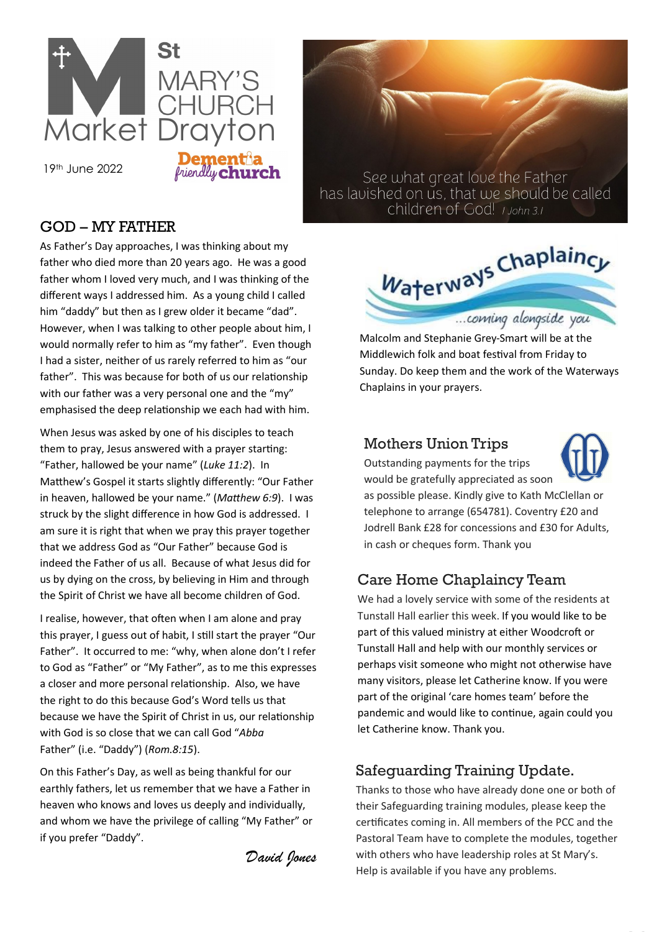

19th June 2022

## GOD – MY FATHER

As Father's Day approaches, I was thinking about my father who died more than 20 years ago. He was a good father whom I loved very much, and I was thinking of the different ways I addressed him. As a young child I called him "daddy" but then as I grew older it became "dad". However, when I was talking to other people about him, I would normally refer to him as "my father". Even though I had a sister, neither of us rarely referred to him as "our father". This was because for both of us our relationship with our father was a very personal one and the "my" emphasised the deep relationship we each had with him.

When Jesus was asked by one of his disciples to teach them to pray, Jesus answered with a prayer starting: "Father, hallowed be your name" (*Luke 11:2*). In Matthew's Gospel it starts slightly differently: "Our Father in heaven, hallowed be your name." (*Matthew 6:9*). I was struck by the slight difference in how God is addressed. I am sure it is right that when we pray this prayer together that we address God as "Our Father" because God is indeed the Father of us all. Because of what Jesus did for us by dying on the cross, by believing in Him and through the Spirit of Christ we have all become children of God.

I realise, however, that often when I am alone and pray this prayer, I guess out of habit, I still start the prayer "Our Father". It occurred to me: "why, when alone don't I refer to God as "Father" or "My Father", as to me this expresses a closer and more personal relationship. Also, we have the right to do this because God's Word tells us that because we have the Spirit of Christ in us, our relationship with God is so close that we can call God "*Abba* Father" (i.e. "Daddy") (*Rom.8:15*).

On this Father's Day, as well as being thankful for our earthly fathers, let us remember that we have a Father in heaven who knows and loves us deeply and individually, and whom we have the privilege of calling "My Father" or if you prefer "Daddy".

*David Jones*

See what great love the Father has lavished on us, that we should be called children of God! I John 3.1



Malcolm and Stephanie Grey-Smart will be at the Middlewich folk and boat festival from Friday to Sunday. Do keep them and the work of the Waterways Chaplains in your prayers.

### Mothers Union Trips



Outstanding payments for the trips would be gratefully appreciated as soon as possible please. Kindly give to Kath McClellan or telephone to arrange (654781). Coventry £20 and Jodrell Bank £28 for concessions and £30 for Adults, in cash or cheques form. Thank you

# Care Home Chaplaincy Team

We had a lovely service with some of the residents at Tunstall Hall earlier this week. If you would like to be part of this valued ministry at either Woodcroft or Tunstall Hall and help with our monthly services or perhaps visit someone who might not otherwise have many visitors, please let Catherine know. If you were part of the original 'care homes team' before the pandemic and would like to continue, again could you let Catherine know. Thank you.

# Safeguarding Training Update.

Thanks to those who have already done one or both of their Safeguarding training modules, please keep the certificates coming in. All members of the PCC and the Pastoral Team have to complete the modules, together with others who have leadership roles at St Mary's. Help is available if you have any problems.